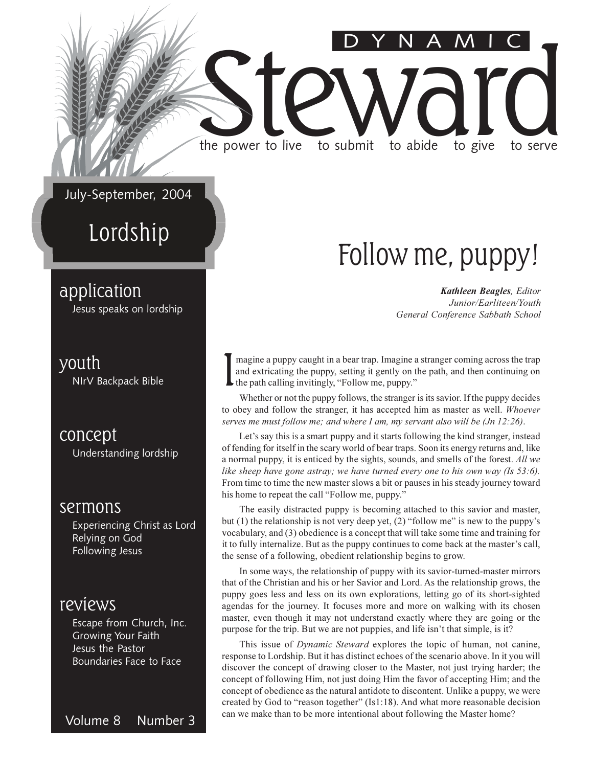July-September, 2004

the power to live

### Lordship

#### application

Jesus speaks on lordship

#### youth

NIrV Backpack Bible

concept Understanding lordship

#### sermons

Experiencing Christ as Lord Relying on God **Following Jesus** 

#### reviews

Escape from Church, Inc. **Growing Your Faith** Jesus the Pastor Boundaries Face to Face

Volume 8 Number 3

### Follow me, puppy!

to abide

**Kathleen Beagles, Editor** Junior/Earliteen/Youth General Conference Sabbath School

to give

to serve

magine a puppy caught in a bear trap. Imagine a stranger coming across the trap and extricating the puppy, setting it gently on the path, and then continuing on  $\blacktriangleright$  the path calling invitingly, "Follow me, puppy."

to submit

Whether or not the puppy follows, the stranger is its savior. If the puppy decides to obey and follow the stranger, it has accepted him as master as well. Whoever serves me must follow me; and where I am, my servant also will be (Jn 12:26).

Let's say this is a smart puppy and it starts following the kind stranger, instead of fending for itself in the scary world of bear traps. Soon its energy returns and, like a normal puppy, it is enticed by the sights, sounds, and smells of the forest. All we like sheep have gone astray; we have turned every one to his own way (Is 53:6). From time to time the new master slows a bit or pauses in his steady journey toward his home to repeat the call "Follow me, puppy."

The easily distracted puppy is becoming attached to this savior and master, but (1) the relationship is not very deep yet, (2) "follow me" is new to the puppy's vocabulary, and (3) obedience is a concept that will take some time and training for it to fully internalize. But as the puppy continues to come back at the master's call, the sense of a following, obedient relationship begins to grow.

In some ways, the relationship of puppy with its savior-turned-master mirrors that of the Christian and his or her Savior and Lord. As the relationship grows, the puppy goes less and less on its own explorations, letting go of its short-sighted agendas for the journey. It focuses more and more on walking with its chosen master, even though it may not understand exactly where they are going or the purpose for the trip. But we are not puppies, and life isn't that simple, is it?

This issue of *Dynamic Steward* explores the topic of human, not canine, response to Lordship. But it has distinct echoes of the scenario above. In it you will discover the concept of drawing closer to the Master, not just trying harder; the concept of following Him, not just doing Him the favor of accepting Him; and the concept of obedience as the natural antidote to discontent. Unlike a puppy, we were created by God to "reason together" (Is1:18). And what more reasonable decision can we make than to be more intentional about following the Master home?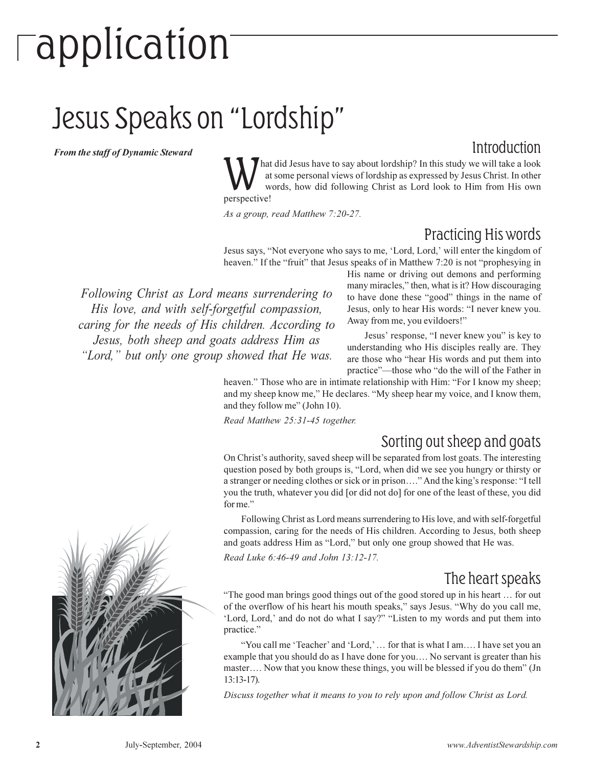## **Tapplication**

### Jesus Speaks on "Lordship"

**From the staff of Dynamic Steward** 

#### Introduction

hat did Jesus have to say about lordship? In this study we will take a look at some personal views of lordship as expressed by Jesus Christ. In other words, how did following Christ as Lord look to Him from His own perspective!

As a group, read Matthew 7:20-27.

#### Practicing His words

Jesus says, "Not everyone who says to me, 'Lord, Lord,' will enter the kingdom of heaven." If the "fruit" that Jesus speaks of in Matthew 7:20 is not "prophesying in

Following Christ as Lord means surrendering to His love, and with self-forgetful compassion, caring for the needs of His children. According to Jesus, both sheep and goats address Him as "Lord," but only one group showed that He was.

His name or driving out demons and performing many miracles," then, what is it? How discouraging to have done these "good" things in the name of Jesus, only to hear His words: "I never knew you. Away from me, you evildoers!"

Jesus' response, "I never knew you" is key to understanding who His disciples really are. They are those who "hear His words and put them into practice"—those who "do the will of the Father in

heaven." Those who are in intimate relationship with Him: "For I know my sheep; and my sheep know me," He declares. "My sheep hear my voice, and I know them, and they follow me" (John 10).

Read Matthew 25:31-45 together.

#### Sorting out sheep and goats

On Christ's authority, saved sheep will be separated from lost goats. The interesting question posed by both groups is, "Lord, when did we see you hungry or thirsty or a stranger or needing clothes or sick or in prison...." And the king's response: "I tell you the truth, whatever you did [or did not do] for one of the least of these, you did for me."

Following Christ as Lord means surrendering to His love, and with self-forgetful compassion, caring for the needs of His children. According to Jesus, both sheep and goats address Him as "Lord," but only one group showed that He was.

Read Luke 6:46-49 and John 13:12-17.

#### The heart speaks

"The good man brings good things out of the good stored up in his heart ... for out of the overflow of his heart his mouth speaks," says Jesus. "Why do you call me, 'Lord, Lord,' and do not do what I say?" "Listen to my words and put them into practice."

"You call me 'Teacher' and 'Lord,' ... for that is what I am.... I have set you an example that you should do as I have done for you.... No servant is greater than his master.... Now that you know these things, you will be blessed if you do them" (Jn  $13:13-17$ ).

Discuss together what it means to you to rely upon and follow Christ as Lord.

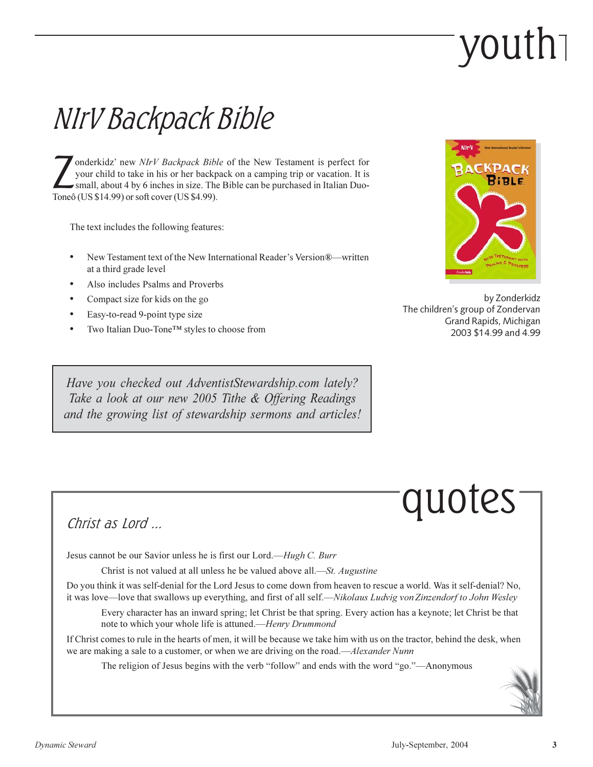## vouth

### NIrV Backpack Bible

onderkidz' new NIrV Backpack Bible of the New Testament is perfect for your child to take in his or her backpack on a camping trip or vacation. It is small, about 4 by 6 inches in size. The Bible can be purchased in Italian Duo-Toneô (US \$14.99) or soft cover (US \$4.99).

The text includes the following features:

- New Testament text of the New International Reader's Version®—written at a third grade level
- Also includes Psalms and Proverbs
- Compact size for kids on the go
- Easy-to-read 9-point type size
- Two Italian Duo-Tone™ styles to choose from

Have you checked out AdventistStewardship.com lately? Take a look at our new 2005 Tithe & Offering Readings and the growing list of stewardship sermons and articles!



by Zonderkidz The children's group of Zondervan Grand Rapids, Michigan 2003 \$14.99 and 4.99

## quotes

#### Christ as Lord  $\Box$

Jesus cannot be our Savior unless he is first our Lord.—Hugh C. Burr

Christ is not valued at all unless he be valued above all.—St. Augustine

Do you think it was self-denial for the Lord Jesus to come down from heaven to rescue a world. Was it self-denial? No, it was love—love that swallows up everything, and first of all self.—Nikolaus Ludvig von Zinzendorf to John Wesley

Every character has an inward spring; let Christ be that spring. Every action has a keynote; let Christ be that note to which your whole life is attuned.—Henry Drummond

If Christ comes to rule in the hearts of men, it will be because we take him with us on the tractor, behind the desk, when we are making a sale to a customer, or when we are driving on the road.—Alexander Nunn

The religion of Jesus begins with the verb "follow" and ends with the word "go."—Anonymous

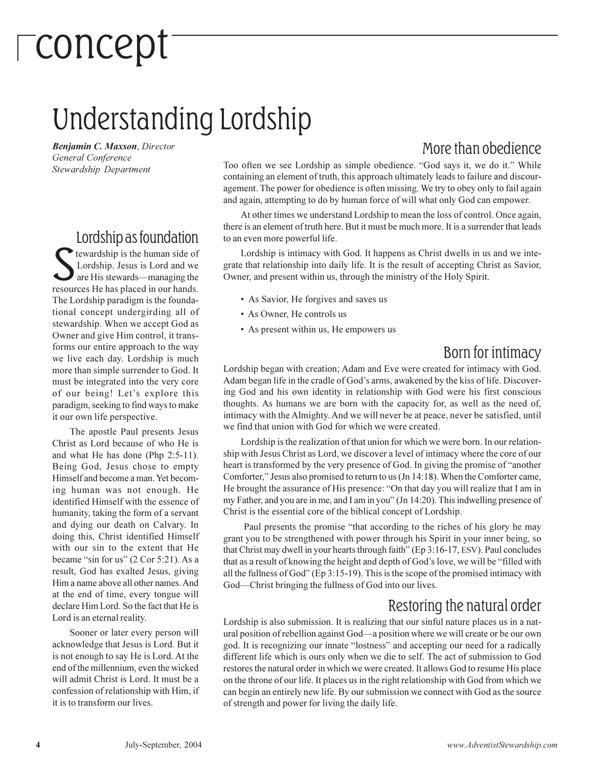## $\sqrt{\phantom{a}}$  concept

### Understanding Lordship

Benjamin C. Maxson, Director General Conference Stewardship Department

#### Lordship as foundation

tewardship is the human side of Lordship. Jesus is Lord and we are His stewards—managing the resources He has placed in our hands. The Lordship paradigm is the foundational concept undergirding all of stewardship. When we accept God as Owner and give Him control, it transforms our entire approach to the way we live each day. Lordship is much more than simple surrender to God. It must be integrated into the very core of our being! Let's explore this paradigm, seeking to find ways to make it our own life perspective.

The apostle Paul presents Jesus Christ as Lord because of who He is and what He has done (Php 2:5-11). Being God, Jesus chose to empty Himself and become a man. Yet becoming human was not enough. He identified Himself with the essence of humanity, taking the form of a servant and dying our death on Calvary. In doing this, Christ identified Himself with our sin to the extent that He became "sin for us" (2 Cor 5:21). As a result, God has exalted Jesus, giving Him a name above all other names. And at the end of time, every tongue will declare Him Lord. So the fact that He is Lord is an eternal reality.

Sooner or later every person will acknowledge that Jesus is Lord. But it is not enough to say He is Lord. At the end of the millennium, even the wicked will admit Christ is Lord. It must be a confession of relationship with Him, if it is to transform our lives.

#### More than obedience

Too often we see Lordship as simple obedience. "God says it, we do it." While containing an element of truth, this approach ultimately leads to failure and discouragement. The power for obedience is often missing. We try to obey only to fail again and again, attempting to do by human force of will what only God can empower.

At other times we understand Lordship to mean the loss of control. Once again, there is an element of truth here. But it must be much more. It is a surrender that leads to an even more powerful life.

Lordship is intimacy with God. It happens as Christ dwells in us and we integrate that relationship into daily life. It is the result of accepting Christ as Savior, Owner, and present within us, through the ministry of the Holy Spirit.

- As Savior, He forgives and saves us
- As Owner, He controls us
- As present within us, He empowers us

#### Born for intimacy

Lordship began with creation; Adam and Eve were created for intimacy with God. Adam began life in the cradle of God's arms, awakened by the kiss of life. Discovering God and his own identity in relationship with God were his first conscious thoughts. As humans we are born with the capacity for, as well as the need of, intimacy with the Almighty. And we will never be at peace, never be satisfied, until we find that union with God for which we were created.

Lordship is the realization of that union for which we were born. In our relationship with Jesus Christ as Lord, we discover a level of intimacy where the core of our heart is transformed by the very presence of God. In giving the promise of "another Comforter," Jesus also promised to return to us (Jn 14:18). When the Comforter came, He brought the assurance of His presence: "On that day you will realize that I am in my Father, and you are in me, and I am in you" (Jn 14:20). This indwelling presence of Christ is the essential core of the biblical concept of Lordship.

Paul presents the promise "that according to the riches of his glory he may grant you to be strengthened with power through his Spirit in your inner being, so that Christ may dwell in your hearts through faith" (Ep 3:16-17, ESV). Paul concludes that as a result of knowing the height and depth of God's love, we will be "filled with" all the fullness of God" (Ep  $3:15-19$ ). This is the scope of the promised intimacy with God-Christ bringing the fullness of God into our lives.

#### Restoring the natural order

Lordship is also submission. It is realizing that our sinful nature places us in a natural position of rebellion against God—a position where we will create or be our own god. It is recognizing our innate "lostness" and accepting our need for a radically different life which is ours only when we die to self. The act of submission to God restores the natural order in which we were created. It allows God to resume His place on the throne of our life. It places us in the right relationship with God from which we can begin an entirely new life. By our submission we connect with God as the source of strength and power for living the daily life.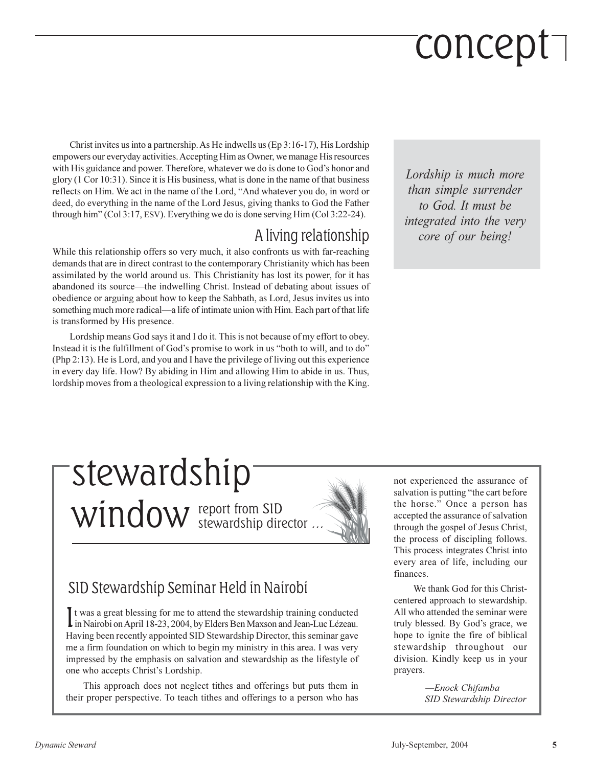## concept<sup>-</sup>

Christ invites us into a partnership. As He indwells us  $(Ep 3:16-17)$ , His Lordship empowers our everyday activities. Accepting Him as Owner, we manage His resources with His guidance and power. Therefore, whatever we do is done to God's honor and glory (1 Cor 10:31). Since it is His business, what is done in the name of that business reflects on Him. We act in the name of the Lord, "And whatever you do, in word or deed, do everything in the name of the Lord Jesus, giving thanks to God the Father through him" (Col 3:17, ESV). Everything we do is done serving  $\lim$  (Col 3:22-24).

#### A living relationship

While this relationship offers so very much, it also confronts us with far-reaching demands that are in direct contrast to the contemporary Christianity which has been assimilated by the world around us. This Christianity has lost its power, for it has abandoned its source—the indwelling Christ. Instead of debating about issues of obedience or arguing about how to keep the Sabbath, as Lord, Jesus invites us into something much more radical—a life of intimate union with Him. Each part of that life is transformed by His presence.

Lordship means God says it and I do it. This is not because of my effort to obey. Instead it is the fulfillment of God's promise to work in us "both to will, and to do" (Php 2:13). He is Lord, and you and I have the privilege of living out this experience in every day life. How? By abiding in Him and allowing Him to abide in us. Thus, lordship moves from a theological expression to a living relationship with the King.

Lordship is much more than simple surrender to God. It must be integrated into the very core of our being!

### stewardship Window report from SID



#### SID Stewardship Seminar Held in Nairobi

It was a great blessing for me to attend the stewardship training conducted I in Nairobi on April 18-23, 2004, by Elders Ben Maxson and Jean-Luc Lézeau. Having been recently appointed SID Stewardship Director, this seminar gave me a firm foundation on which to begin my ministry in this area. I was very impressed by the emphasis on salvation and stewardship as the lifestyle of one who accepts Christ's Lordship.

This approach does not neglect tithes and offerings but puts them in their proper perspective. To teach tithes and offerings to a person who has

not experienced the assurance of salvation is putting "the cart before" the horse." Once a person has accepted the assurance of salvation through the gospel of Jesus Christ, the process of discipling follows. This process integrates Christ into every area of life, including our finances.

We thank God for this Christcentered approach to stewardship. All who attended the seminar were truly blessed. By God's grace, we hope to ignite the fire of biblical stewardship throughout our division. Kindly keep us in your prayers.

> -Enock Chifamba **SID Stewardship Director**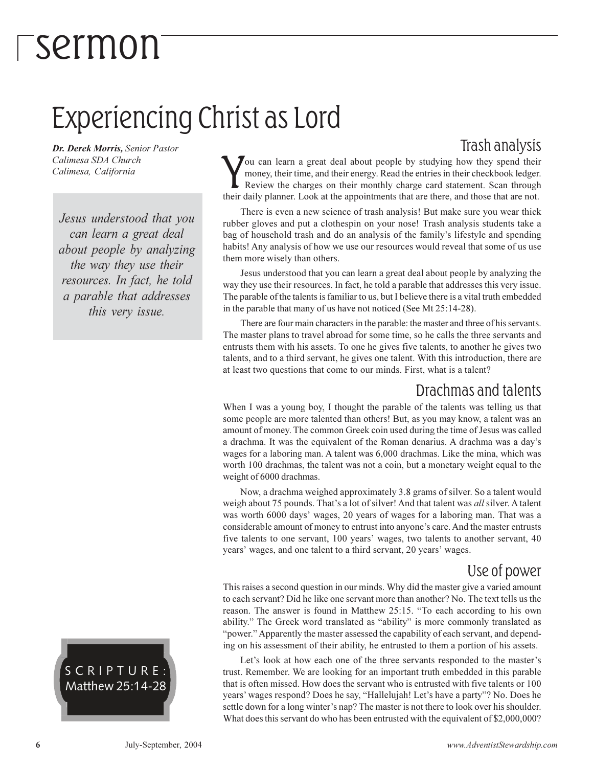### *Fsermon*

### Experiencing Christ as Lord

Dr. Derek Morris, Senior Pastor Calimesa SDA Church Calimesa, California

Jesus understood that you can learn a great deal about people by analyzing the way they use their resources. In fact, he told a parable that addresses this very issue.



#### Trash analysis

ou can learn a great deal about people by studying how they spend their money, their time, and their energy. Read the entries in their checkbook ledger. Review the charges on their monthly charge card statement. Scan through their daily planner. Look at the appointments that are there, and those that are not.

There is even a new science of trash analysis! But make sure you wear thick rubber gloves and put a clothespin on your nose! Trash analysis students take a bag of household trash and do an analysis of the family's lifestyle and spending habits! Any analysis of how we use our resources would reveal that some of us use them more wisely than others.

Jesus understood that you can learn a great deal about people by analyzing the way they use their resources. In fact, he told a parable that addresses this very issue. The parable of the talents is familiar to us, but I believe there is a vital truth embedded in the parable that many of us have not noticed (See Mt 25:14-28).

There are four main characters in the parable: the master and three of his servants. The master plans to travel abroad for some time, so he calls the three servants and entrusts them with his assets. To one he gives five talents, to another he gives two talents, and to a third servant, he gives one talent. With this introduction, there are at least two questions that come to our minds. First, what is a talent?

#### Drachmas and talents

When I was a young boy, I thought the parable of the talents was telling us that some people are more talented than others! But, as you may know, a talent was an amount of money. The common Greek coin used during the time of Jesus was called a drachma. It was the equivalent of the Roman denarius. A drachma was a day's wages for a laboring man. A talent was 6,000 drachmas. Like the mina, which was worth 100 drachmas, the talent was not a coin, but a monetary weight equal to the weight of 6000 drachmas.

Now, a drachma weighed approximately 3.8 grams of silver. So a talent would weigh about 75 pounds. That's a lot of silver! And that talent was *all* silver. A talent was worth 6000 days' wages, 20 years of wages for a laboring man. That was a considerable amount of money to entrust into anyone's care. And the master entrusts five talents to one servant, 100 years' wages, two talents to another servant, 40 years' wages, and one talent to a third servant, 20 years' wages.

#### Use of power

This raises a second question in our minds. Why did the master give a varied amount to each servant? Did he like one servant more than another? No. The text tells us the reason. The answer is found in Matthew 25:15. "To each according to his own ability." The Greek word translated as "ability" is more commonly translated as "power." Apparently the master assessed the capability of each servant, and depending on his assessment of their ability, he entrusted to them a portion of his assets.

Let's look at how each one of the three servants responded to the master's trust. Remember. We are looking for an important truth embedded in this parable that is often missed. How does the servant who is entrusted with five talents or 100 years' wages respond? Does he say, "Hallelujah! Let's have a party"? No. Does he settle down for a long winter's nap? The master is not there to look over his shoulder. What does this servant do who has been entrusted with the equivalent of \$2,000,000?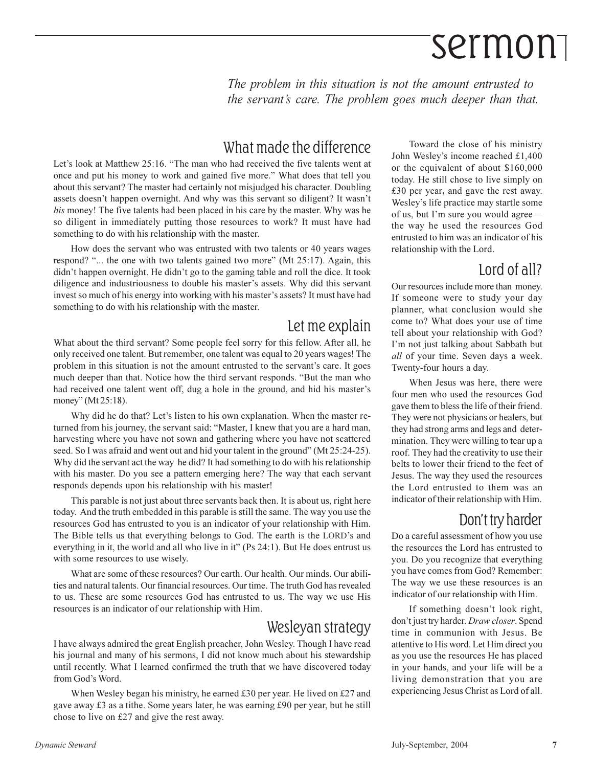## Sermon

The problem in this situation is not the amount entrusted to the servant's care. The problem goes much deeper than that.

#### What made the difference

Let's look at Matthew 25:16. "The man who had received the five talents went at once and put his money to work and gained five more." What does that tell you about this servant? The master had certainly not misjudged his character. Doubling assets doesn't happen overnight. And why was this servant so diligent? It wasn't his money! The five talents had been placed in his care by the master. Why was he so diligent in immediately putting those resources to work? It must have had something to do with his relationship with the master.

How does the servant who was entrusted with two talents or 40 years wages respond? "... the one with two talents gained two more" (Mt 25:17). Again, this didn't happen overnight. He didn't go to the gaming table and roll the dice. It took diligence and industriousness to double his master's assets. Why did this servant invest so much of his energy into working with his master's assets? It must have had something to do with his relationship with the master.

#### Let me explain

What about the third servant? Some people feel sorry for this fellow. After all, he only received one talent. But remember, one talent was equal to 20 years wages! The problem in this situation is not the amount entrusted to the servant's care. It goes much deeper than that. Notice how the third servant responds. "But the man who had received one talent went off, dug a hole in the ground, and hid his master's money" (Mt  $25:18$ ).

Why did he do that? Let's listen to his own explanation. When the master returned from his journey, the servant said: "Master, I knew that you are a hard man, harvesting where you have not sown and gathering where you have not scattered seed. So I was afraid and went out and hid your talent in the ground" (Mt 25:24-25). Why did the servant act the way he did? It had something to do with his relationship with his master. Do you see a pattern emerging here? The way that each servant responds depends upon his relationship with his master!

This parable is not just about three servants back then. It is about us, right here today. And the truth embedded in this parable is still the same. The way you use the resources God has entrusted to you is an indicator of your relationship with Him. The Bible tells us that everything belongs to God. The earth is the LORD's and everything in it, the world and all who live in it" (Ps 24:1). But He does entrust us with some resources to use wisely.

What are some of these resources? Our earth, Our health, Our minds, Our abilities and natural talents. Our financial resources. Our time. The truth God has revealed to us. These are some resources God has entrusted to us. The way we use His resources is an indicator of our relationship with Him.

#### Wesleyan strategy

I have always admired the great English preacher, John Wesley. Though I have read his journal and many of his sermons, I did not know much about his stewardship until recently. What I learned confirmed the truth that we have discovered today from God's Word.

When Wesley began his ministry, he earned £30 per year. He lived on £27 and gave away £3 as a tithe. Some years later, he was earning £90 per year, but he still chose to live on £27 and give the rest away.

Toward the close of his ministry John Wesley's income reached £1,400 or the equivalent of about \$160,000 today. He still chose to live simply on £30 per year, and gave the rest away. Wesley's life practice may startle some of us, but I'm sure you would agreethe way he used the resources God entrusted to him was an indicator of his relationship with the Lord.

#### 1 ord of all?

Our resources include more than money. If someone were to study your day planner, what conclusion would she come to? What does your use of time tell about your relationship with God? I'm not just talking about Sabbath but all of your time. Seven days a week. Twenty-four hours a day.

When Jesus was here, there were four men who used the resources God gave them to bless the life of their friend. They were not physicians or healers, but they had strong arms and legs and determination. They were willing to tear up a roof. They had the creativity to use their belts to lower their friend to the feet of Jesus. The way they used the resources the Lord entrusted to them was an indicator of their relationship with Him.

#### Don't try harder

Do a careful assessment of how you use the resources the Lord has entrusted to you. Do you recognize that everything you have comes from God? Remember: The way we use these resources is an indicator of our relationship with Him.

If something doesn't look right, don't just try harder. Draw closer. Spend time in communion with Jesus. Be attentive to His word. Let Him direct you as you use the resources He has placed in your hands, and your life will be a living demonstration that you are experiencing Jesus Christ as Lord of all.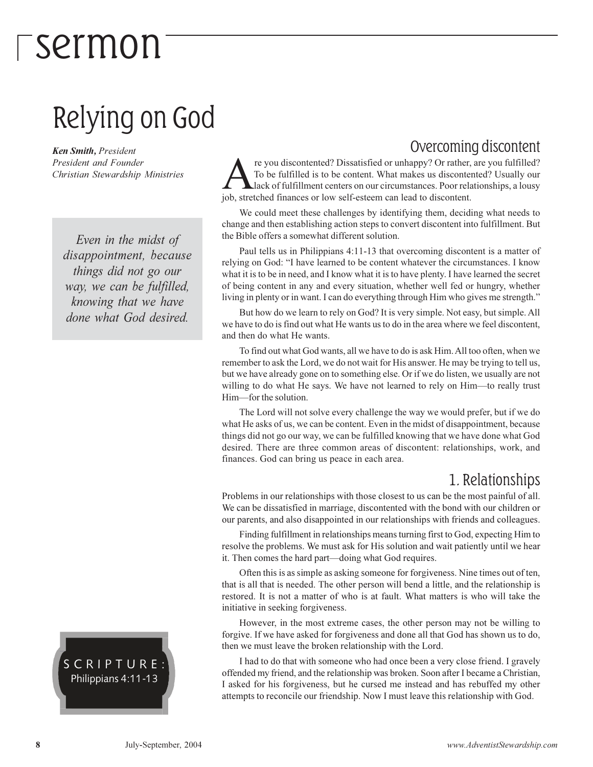## $\ulcorner$ sermon

### Relying on God

**Ken Smith, President** President and Founder Christian Stewardship Ministries

Even in the midst of disappointment, because things did not go our way, we can be fulfilled, knowing that we have done what God desired.

#### SCRIPTURE: Philippians 4:11-13

#### Overcoming discontent

re you discontented? Dissatisfied or unhappy? Or rather, are you fulfilled? To be fulfilled is to be content. What makes us discontented? Usually our Llack of fulfillment centers on our circumstances. Poor relationships, a lousy job, stretched finances or low self-esteem can lead to discontent.

We could meet these challenges by identifying them, deciding what needs to change and then establishing action steps to convert discontent into fulfillment. But the Bible offers a somewhat different solution.

Paul tells us in Philippians 4:11-13 that overcoming discontent is a matter of relying on God: "I have learned to be content whatever the circumstances. I know what it is to be in need, and I know what it is to have plenty. I have learned the secret of being content in any and every situation, whether well fed or hungry, whether living in plenty or in want. I can do everything through Him who gives me strength."

But how do we learn to rely on God? It is very simple. Not easy, but simple. All we have to do is find out what He wants us to do in the area where we feel discontent, and then do what He wants.

To find out what God wants, all we have to do is ask Him. All too often, when we remember to ask the Lord, we do not wait for His answer. He may be trying to tell us, but we have already gone on to something else. Or if we do listen, we usually are not willing to do what He says. We have not learned to rely on Him—to really trust Him-for the solution.

The Lord will not solve every challenge the way we would prefer, but if we do what He asks of us, we can be content. Even in the midst of disappointment, because things did not go our way, we can be fulfilled knowing that we have done what God desired. There are three common areas of discontent: relationships, work, and finances. God can bring us peace in each area.

#### 1. Relationships

Problems in our relationships with those closest to us can be the most painful of all. We can be dissatisfied in marriage, discontented with the bond with our children or our parents, and also disappointed in our relationships with friends and colleagues.

Finding fulfillment in relationships means turning first to God, expecting Him to resolve the problems. We must ask for His solution and wait patiently until we hear it. Then comes the hard part—doing what God requires.

Often this is as simple as asking someone for forgiveness. Nine times out of ten, that is all that is needed. The other person will bend a little, and the relationship is restored. It is not a matter of who is at fault. What matters is who will take the initiative in seeking forgiveness.

However, in the most extreme cases, the other person may not be willing to forgive. If we have asked for forgiveness and done all that God has shown us to do, then we must leave the broken relationship with the Lord.

I had to do that with someone who had once been a very close friend. I gravely offended my friend, and the relationship was broken. Soon after I became a Christian, I asked for his forgiveness, but he cursed me instead and has rebuffed my other attempts to reconcile our friendship. Now I must leave this relationship with God.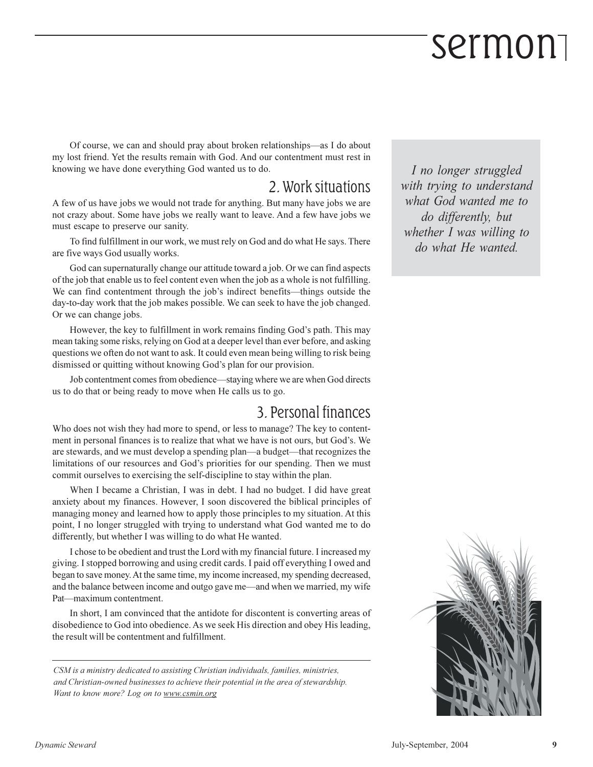## sermon

Of course, we can and should pray about broken relationships—as I do about my lost friend. Yet the results remain with God. And our contentment must rest in knowing we have done everything God wanted us to do.

#### 2. Work situations

A few of us have jobs we would not trade for anything. But many have jobs we are not crazy about. Some have jobs we really want to leave. And a few have jobs we must escape to preserve our sanity.

To find fulfillment in our work, we must rely on God and do what He says. There are five ways God usually works.

God can supernaturally change our attitude toward a job. Or we can find aspects of the job that enable us to feel content even when the job as a whole is not fulfilling. We can find contentment through the job's indirect benefits—things outside the day-to-day work that the job makes possible. We can seek to have the job changed. Or we can change jobs.

However, the key to fulfillment in work remains finding God's path. This may mean taking some risks, relying on God at a deeper level than ever before, and asking questions we often do not want to ask. It could even mean being willing to risk being dismissed or quitting without knowing God's plan for our provision.

Job contentment comes from obedience—staying where we are when God directs us to do that or being ready to move when He calls us to go.

#### 3. Personal finances

Who does not wish they had more to spend, or less to manage? The key to contentment in personal finances is to realize that what we have is not ours, but God's. We are stewards, and we must develop a spending plan—a budget—that recognizes the limitations of our resources and God's priorities for our spending. Then we must commit ourselves to exercising the self-discipline to stay within the plan.

When I became a Christian, I was in debt. I had no budget. I did have great anxiety about my finances. However, I soon discovered the biblical principles of managing money and learned how to apply those principles to my situation. At this point, I no longer struggled with trying to understand what God wanted me to do differently, but whether I was willing to do what He wanted.

I chose to be obedient and trust the Lord with my financial future. I increased my giving. I stopped borrowing and using credit cards. I paid off everything I owed and began to save money. At the same time, my income increased, my spending decreased, and the balance between income and outgo gave me—and when we married, my wife Pat-maximum contentment.

In short, I am convinced that the antidote for discontent is converting areas of disobedience to God into obedience. As we seek His direction and obey His leading, the result will be contentment and fulfillment.

CSM is a ministry dedicated to assisting Christian individuals, families, ministries, and Christian-owned businesses to achieve their potential in the area of stewardship. Want to know more? Log on to www.csmin.org

I no longer struggled with trying to understand what God wanted me to do differently, but whether I was willing to do what He wanted.

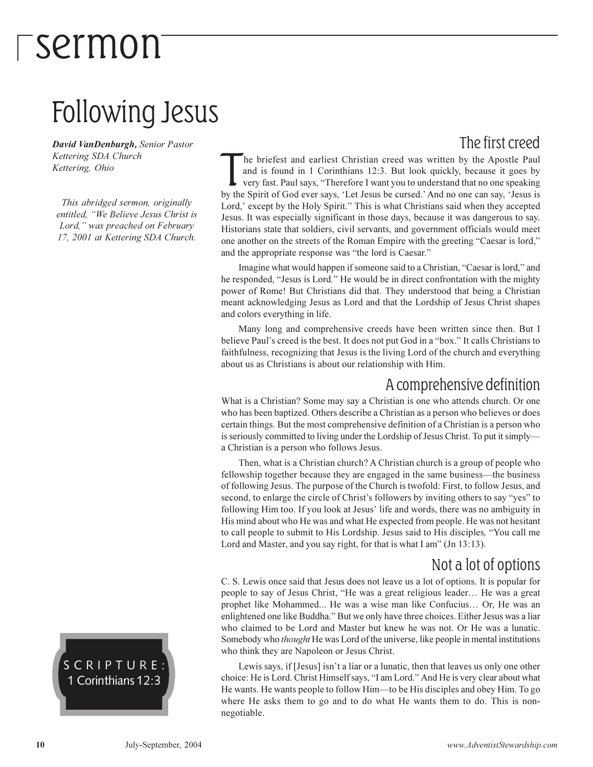## *Tsermon*

### Following Jesus

David VanDenburgh, Senior Pastor Kettering SDA Church Kettering, Ohio

This abridged sermon, originally entitled, "We Believe Jesus Christ is Lord," was preached on February 17, 2001 at Kettering SDA Church.

#### The first creed

he briefest and earliest Christian creed was written by the Apostle Paul and is found in 1 Corinthians 12:3. But look quickly, because it goes by very fast. Paul says, "Therefore I want you to understand that no one speaking by the Spirit of God ever says, 'Let Jesus be cursed.' And no one can say, 'Jesus is Lord,' except by the Holy Spirit." This is what Christians said when they accepted Jesus. It was especially significant in those days, because it was dangerous to say. Historians state that soldiers, civil servants, and government officials would meet one another on the streets of the Roman Empire with the greeting "Caesar is lord," and the appropriate response was "the lord is Caesar."

Imagine what would happen if someone said to a Christian, "Caesar is lord," and he responded, "Jesus is Lord." He would be in direct confrontation with the mighty power of Rome! But Christians did that. They understood that being a Christian meant acknowledging Jesus as Lord and that the Lordship of Jesus Christ shapes and colors everything in life.

Many long and comprehensive creeds have been written since then. But I believe Paul's creed is the best. It does not put God in a "box." It calls Christians to faithfulness, recognizing that Jesus is the living Lord of the church and everything about us as Christians is about our relationship with Him.

#### A comprehensive definition

What is a Christian? Some may say a Christian is one who attends church. Or one who has been baptized. Others describe a Christian as a person who believes or does certain things. But the most comprehensive definition of a Christian is a person who is seriously committed to living under the Lordship of Jesus Christ. To put it simply a Christian is a person who follows Jesus.

Then, what is a Christian church? A Christian church is a group of people who fellowship together because they are engaged in the same business—the business of following Jesus. The purpose of the Church is twofold: First, to follow Jesus, and second, to enlarge the circle of Christ's followers by inviting others to say "yes" to following Him too. If you look at Jesus' life and words, there was no ambiguity in His mind about who He was and what He expected from people. He was not hesitant to call people to submit to His Lordship. Jesus said to His disciples, "You call me Lord and Master, and you say right, for that is what I am" (Jn 13:13).

#### Not a lot of options

C. S. Lewis once said that Jesus does not leave us a lot of options. It is popular for people to say of Jesus Christ, "He was a great religious leader... He was a great prophet like Mohammed... He was a wise man like Confucius... Or, He was an enlightened one like Buddha." But we only have three choices. Either Jesus was a liar who claimed to be Lord and Master but knew he was not. Or He was a lunatic. Somebody who *thought* He was Lord of the universe, like people in mental institutions who think they are Napoleon or Jesus Christ.

Lewis says, if [Jesus] isn't a liar or a lunatic, then that leaves us only one other choice: He is Lord. Christ Himself says, "I am Lord." And He is very clear about what He wants. He wants people to follow Him—to be His disciples and obey Him. To go where He asks them to go and to do what He wants them to do. This is nonnegotiable.

SCRIPTURE: 1 Corinthians 12:3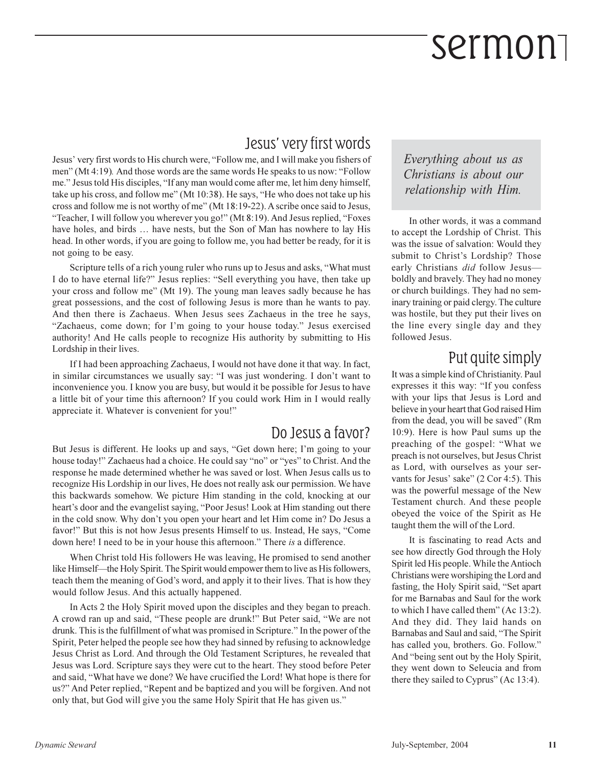## sermon

#### Jesus' very first words

Jesus' very first words to His church were, "Follow me, and I will make you fishers of men" (Mt 4:19). And those words are the same words He speaks to us now: "Follow me." Jesus told His disciples, "If any man would come after me, let him deny himself, take up his cross, and follow me" (Mt 10:38). He says, "He who does not take up his cross and follow me is not worthy of me" (Mt 18:19-22). A scribe once said to Jesus, "Teacher, I will follow you wherever you go!" (Mt 8:19). And Jesus replied, "Foxes have holes, and birds ... have nests, but the Son of Man has nowhere to lay His head. In other words, if you are going to follow me, you had better be ready, for it is not going to be easy.

Scripture tells of a rich young ruler who runs up to Jesus and asks, "What must" I do to have eternal life?" Jesus replies: "Sell everything you have, then take up your cross and follow me" (Mt 19). The young man leaves sadly because he has great possessions, and the cost of following Jesus is more than he wants to pay. And then there is Zachaeus. When Jesus sees Zachaeus in the tree he says, "Zachaeus, come down; for I'm going to your house today." Jesus exercised authority! And He calls people to recognize His authority by submitting to His Lordship in their lives.

If I had been approaching Zachaeus, I would not have done it that way. In fact, in similar circumstances we usually say: "I was just wondering. I don't want to inconvenience you. I know you are busy, but would it be possible for Jesus to have a little bit of your time this afternoon? If you could work Him in I would really appreciate it. Whatever is convenient for you!"

#### Do Jesus a favor?

But Jesus is different. He looks up and says, "Get down here; I'm going to your house today!" Zachaeus had a choice. He could say "no" or "yes" to Christ. And the response he made determined whether he was saved or lost. When Jesus calls us to recognize His Lordship in our lives, He does not really ask our permission. We have this backwards somehow. We picture Him standing in the cold, knocking at our heart's door and the evangelist saying, "Poor Jesus! Look at Him standing out there in the cold snow. Why don't you open your heart and let Him come in? Do Jesus a favor!" But this is not how Jesus presents Himself to us. Instead, He says, "Come down here! I need to be in your house this afternoon." There is a difference.

When Christ told His followers He was leaving, He promised to send another like Himself—the Holy Spirit. The Spirit would empower them to live as His followers, teach them the meaning of God's word, and apply it to their lives. That is how they would follow Jesus. And this actually happened.

In Acts 2 the Holy Spirit moved upon the disciples and they began to preach. A crowd ran up and said, "These people are drunk!" But Peter said, "We are not drunk. This is the fulfillment of what was promised in Scripture." In the power of the Spirit, Peter helped the people see how they had sinned by refusing to acknowledge Jesus Christ as Lord. And through the Old Testament Scriptures, he revealed that Jesus was Lord. Scripture says they were cut to the heart. They stood before Peter and said, "What have we done? We have crucified the Lord! What hope is there for us?" And Peter replied, "Repent and be baptized and you will be forgiven. And not only that, but God will give you the same Holy Spirit that He has given us."

Everything about us as Christians is about our relationship with Him.

In other words, it was a command to accept the Lordship of Christ. This was the issue of salvation: Would they submit to Christ's Lordship? Those early Christians did follow Jesusboldly and bravely. They had no money or church buildings. They had no seminary training or paid clergy. The culture was hostile, but they put their lives on the line every single day and they followed Jesus.

#### Put quite simply

It was a simple kind of Christianity. Paul expresses it this way: "If you confess with your lips that Jesus is Lord and believe in your heart that God raised Him from the dead, you will be saved" (Rm 10:9). Here is how Paul sums up the preaching of the gospel: "What we preach is not ourselves, but Jesus Christ as Lord, with ourselves as your servants for Jesus' sake" (2 Cor 4:5). This was the powerful message of the New Testament church. And these people obeyed the voice of the Spirit as He taught them the will of the Lord.

It is fascinating to read Acts and see how directly God through the Holy Spirit led His people. While the Antioch Christians were worshiping the Lord and fasting, the Holy Spirit said, "Set apart for me Barnabas and Saul for the work to which I have called them" (Ac 13:2). And they did. They laid hands on Barnabas and Saul and said, "The Spirit has called you, brothers. Go. Follow." And "being sent out by the Holy Spirit, they went down to Seleucia and from there they sailed to Cyprus" (Ac 13:4).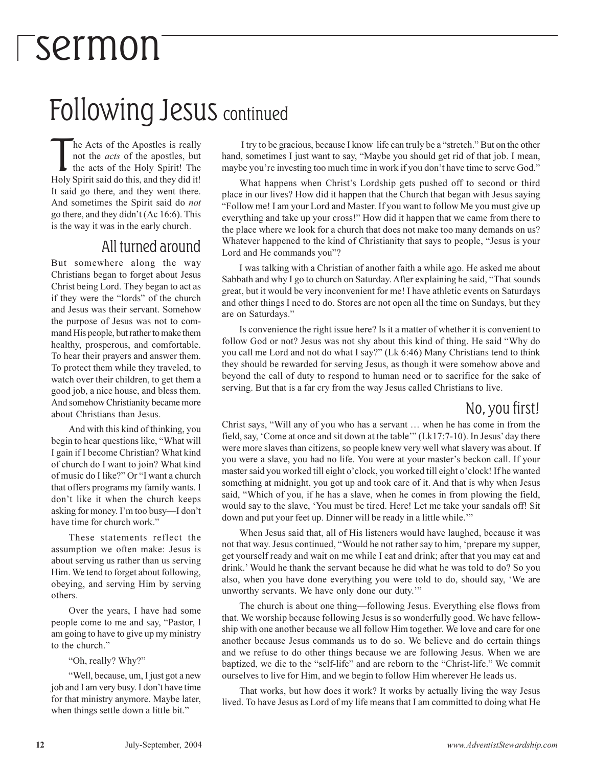## *Fsermon*

### **Following Jesus continued**

he Acts of the Apostles is really not the *acts* of the apostles, but the acts of the Holy Spirit! The Holy Spirit said do this, and they did it! It said go there, and they went there. And sometimes the Spirit said do not go there, and they didn't (Ac 16:6). This is the way it was in the early church.

#### All turned around

But somewhere along the way Christians began to forget about Jesus Christ being Lord. They began to act as if they were the "lords" of the church and Jesus was their servant. Somehow the purpose of Jesus was not to command His people, but rather to make them healthy, prosperous, and comfortable. To hear their prayers and answer them. To protect them while they traveled, to watch over their children, to get them a good job, a nice house, and bless them. And somehow Christianity became more about Christians than Jesus.

And with this kind of thinking, you begin to hear questions like, "What will I gain if I become Christian? What kind of church do I want to join? What kind of music do I like?" Or "I want a church that offers programs my family wants. I don't like it when the church keeps asking for money. I'm too busy—I don't have time for church work."

These statements reflect the assumption we often make: Jesus is about serving us rather than us serving Him. We tend to forget about following. obeying, and serving Him by serving others.

Over the years, I have had some people come to me and say, "Pastor, I am going to have to give up my ministry to the church."

"Oh, really? Why?"

"Well, because, um, I just got a new job and I am very busy. I don't have time for that ministry anymore. Maybe later, when things settle down a little bit."

I try to be gracious, because I know life can truly be a "stretch." But on the other hand, sometimes I just want to say, "Maybe you should get rid of that job. I mean, "maybe you're investing too much time in work if you don't have time to serve God."

What happens when Christ's Lordship gets pushed off to second or third place in our lives? How did it happen that the Church that began with Jesus saying "Follow me! I am your Lord and Master. If you want to follow Me you must give up everything and take up your cross!" How did it happen that we came from there to the place where we look for a church that does not make too many demands on us? Whatever happened to the kind of Christianity that says to people, "Jesus is your Lord and He commands you"?

I was talking with a Christian of another faith a while ago. He asked me about Sabbath and why I go to church on Saturday. After explaining he said, "That sounds great, but it would be very inconvenient for me! I have at hetic events on Saturdays and other things I need to do. Stores are not open all the time on Sundays, but they are on Saturdays."

Is convenience the right issue here? Is it a matter of whether it is convenient to follow God or not? Jesus was not shy about this kind of thing. He said "Why do you call me Lord and not do what I say?" (Lk 6:46) Many Christians tend to think they should be rewarded for serving Jesus, as though it were somehow above and beyond the call of duty to respond to human need or to sacrifice for the sake of serving. But that is a far cry from the way Jesus called Christians to live.

#### No, you first!

Christ says, "Will any of you who has a servant ... when he has come in from the field, say, 'Come at once and sit down at the table'" (Lk17:7-10). In Jesus' day there were more slaves than citizens, so people knew very well what slavery was about. If you were a slave, you had no life. You were at your master's beckon call. If your master said you worked till eight o'clock, you worked till eight o'clock! If he wanted something at midnight, you got up and took care of it. And that is why when Jesus said, "Which of you, if he has a slave, when he comes in from plowing the field, would say to the slave, 'You must be tired. Here! Let me take your sandals off! Sit down and put your feet up. Dinner will be ready in a little while."

When Jesus said that, all of His listeners would have laughed, because it was not that way. Jesus continued, "Would he not rather say to him, 'prepare my supper, get yourself ready and wait on me while I eat and drink; after that you may eat and drink.' Would he thank the servant because he did what he was told to do? So you also, when you have done everything you were told to do, should say, 'We are unworthy servants. We have only done our duty."

The church is about one thing—following Jesus. Everything else flows from that. We worship because following Jesus is so wonderfully good. We have fellowship with one another because we all follow Him together. We love and care for one another because Jesus commands us to do so. We believe and do certain things and we refuse to do other things because we are following Jesus. When we are baptized, we die to the "self-life" and are reborn to the "Christ-life." We commit ourselves to live for Him, and we begin to follow Him wherever He leads us.

That works, but how does it work? It works by actually living the way Jesus lived. To have Jesus as Lord of my life means that I am committed to doing what He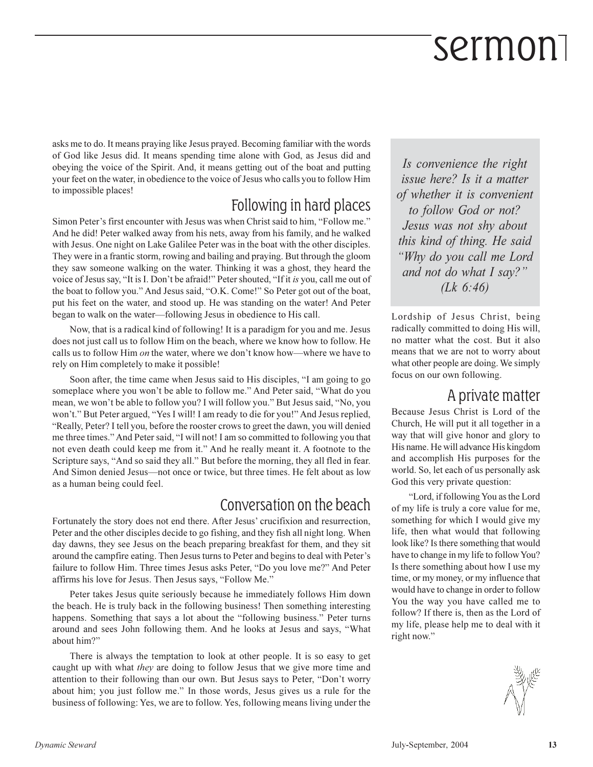## sermon

asks me to do. It means praying like Jesus prayed. Becoming familiar with the words of God like Jesus did. It means spending time alone with God, as Jesus did and obeying the voice of the Spirit. And, it means getting out of the boat and putting your feet on the water, in obedience to the voice of Jesus who calls you to follow Him to impossible places!

#### Following in hard places

Simon Peter's first encounter with Jesus was when Christ said to him, "Follow me." And he did! Peter walked away from his nets, away from his family, and he walked with Jesus. One night on Lake Galilee Peter was in the boat with the other disciples. They were in a frantic storm, rowing and bailing and praying. But through the gloom they saw someone walking on the water. Thinking it was a ghost, they heard the voice of Jesus say, "It is I. Don't be afraid!" Peter shouted, "If it is you, call me out of the boat to follow you." And Jesus said, "O.K. Come!" So Peter got out of the boat, put his feet on the water, and stood up. He was standing on the water! And Peter began to walk on the water—following Jesus in obedience to His call.

Now, that is a radical kind of following! It is a paradigm for you and me. Jesus does not just call us to follow Him on the beach, where we know how to follow. He calls us to follow Him on the water, where we don't know how—where we have to rely on Him completely to make it possible!

Soon after, the time came when Jesus said to His disciples, "I am going to go someplace where you won't be able to follow me." And Peter said, "What do you mean, we won't be able to follow you? I will follow you." But Jesus said, "No, you won't." But Peter argued, "Yes I will! I am ready to die for you!" And Jesus replied, "Really, Peter? I tell you, before the rooster crows to greet the dawn, you will denied me three times." And Peter said, "I will not! I am so committed to following you that not even death could keep me from it." And he really meant it. A footnote to the Scripture says, "And so said they all." But before the morning, they all fled in fear. And Simon denied Jesus—not once or twice, but three times. He felt about as low as a human being could feel.

#### Conversation on the beach

Fortunately the story does not end there. After Jesus' crucifixion and resurrection, Peter and the other disciples decide to go fishing, and they fish all night long. When day dawns, they see Jesus on the beach preparing breakfast for them, and they sit around the campfire eating. Then Jesus turns to Peter and begins to deal with Peter's failure to follow Him. Three times Jesus asks Peter, "Do you love me?" And Peter affirms his love for Jesus. Then Jesus says, "Follow Me."

Peter takes Jesus quite seriously because he immediately follows Him down the beach. He is truly back in the following business! Then something interesting happens. Something that says a lot about the "following business." Peter turns around and sees John following them. And he looks at Jesus and says, "What about him?"

There is always the temptation to look at other people. It is so easy to get caught up with what they are doing to follow Jesus that we give more time and attention to their following than our own. But Jesus says to Peter, "Don't worry about him; you just follow me." In those words, Jesus gives us a rule for the business of following: Yes, we are to follow. Yes, following means living under the

Is convenience the right issue here? Is it a matter of whether it is convenient to follow God or not? Jesus was not shy about this kind of thing. He said "Why do you call me Lord and not do what I say?"  $(Lk 6:46)$ 

Lordship of Jesus Christ, being radically committed to doing His will, no matter what the cost. But it also means that we are not to worry about what other people are doing. We simply focus on our own following.

#### A private matter

Because Jesus Christ is Lord of the Church, He will put it all together in a way that will give honor and glory to His name. He will advance His kingdom and accomplish His purposes for the world. So, let each of us personally ask God this very private question:

"Lord, if following You as the Lord of my life is truly a core value for me, something for which I would give my life, then what would that following look like? Is there something that would have to change in my life to follow You? Is there something about how I use my time, or my money, or my influence that would have to change in order to follow You the way you have called me to follow? If there is, then as the Lord of my life, please help me to deal with it right now."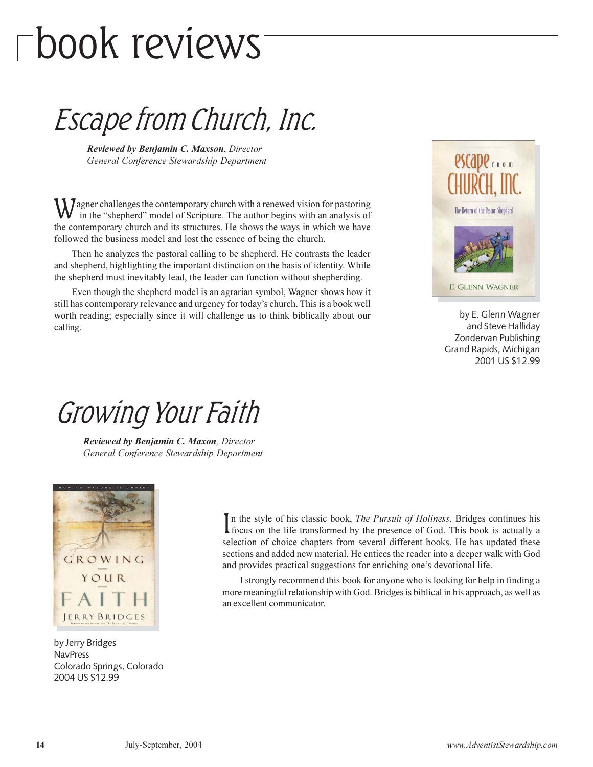## $\Gamma$ book reviews

### Escape from Church, Inc.

Reviewed by Benjamin C. Maxson, Director General Conference Stewardship Department

 $\sum$  Jagner challenges the contemporary church with a renewed vision for pastoring in the "shepherd" model of Scripture. The author begins with an analysis of the contemporary church and its structures. He shows the ways in which we have followed the business model and lost the essence of being the church.

Then he analyzes the pastoral calling to be shepherd. He contrasts the leader and shepherd, highlighting the important distinction on the basis of identity. While the shepherd must inevitably lead, the leader can function without shepherding.

Even though the shepherd model is an agrarian symbol, Wagner shows how it still has contemporary relevance and urgency for today's church. This is a book well worth reading; especially since it will challenge us to think biblically about our calling.



by E. Glenn Wagner and Steve Halliday Zondervan Publishing Grand Rapids, Michigan 2001 US \$12.99

### Growing Your Faith

Reviewed by Benjamin C. Maxon, Director General Conference Stewardship Department



by Jerry Bridges **NavPress** Colorado Springs, Colorado 2004 US \$12.99

In the style of his classic book, *The Pursuit of Holiness*, Bridges continues his I focus on the life transformed by the presence of God. This book is actually a selection of choice chapters from several different books. He has updated these sections and added new material. He entices the reader into a deeper walk with God and provides practical suggestions for enriching one's devotional life.

I strongly recommend this book for anyone who is looking for help in finding a more meaningful relationship with God. Bridges is biblical in his approach, as well as an excellent communicator.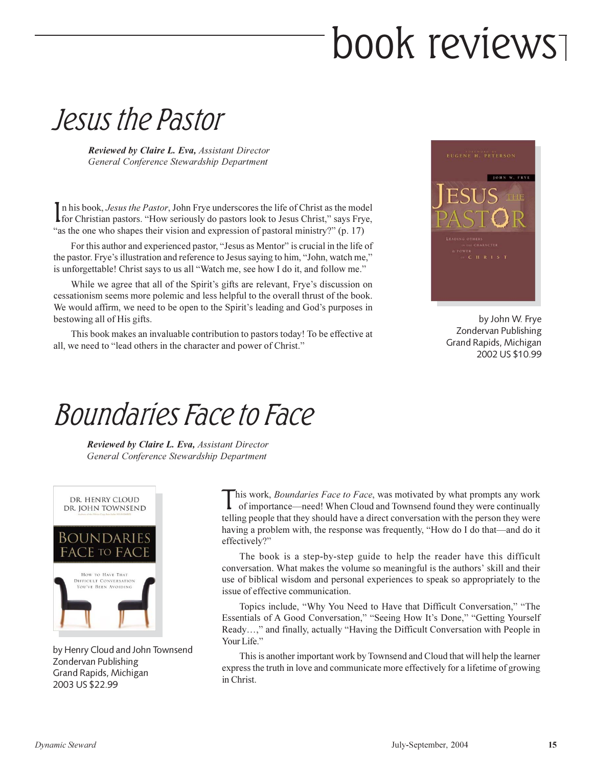## book reviews

### Jesus the Pastor

**Reviewed by Claire L. Eva, Assistant Director** General Conference Stewardship Department

In his book, Jesus the Pastor, John Frye underscores the life of Christ as the model Ifor Christian pastors. "How seriously do pastors look to Jesus Christ," says Frye, "as the one who shapes their vision and expression of pastoral ministry?" (p. 17)

For this author and experienced pastor, "Jesus as Mentor" is crucial in the life of the pastor. Frye's illustration and reference to Jesus saying to him, "John, watch me," is unforgettable! Christ says to us all "Watch me, see how I do it, and follow me."

While we agree that all of the Spirit's gifts are relevant, Frye's discussion on cessationism seems more polemic and less helpful to the overall thrust of the book. We would affirm, we need to be open to the Spirit's leading and God's purposes in bestowing all of His gifts.

This book makes an invaluable contribution to pastors today! To be effective at all, we need to "lead others in the character and power of Christ."



by John W. Frye Zondervan Publishing Grand Rapids, Michigan 2002 US \$10.99

### *Boundaries Face to Face*

Reviewed by Claire L. Eva, Assistant Director General Conference Stewardship Department



by Henry Cloud and John Townsend Zondervan Publishing Grand Rapids, Michigan 2003 US \$22.99

his work, Boundaries Face to Face, was motivated by what prompts any work of importance—need! When Cloud and Townsend found they were continually telling people that they should have a direct conversation with the person they were having a problem with, the response was frequently, "How do I do that—and do it effectively?"

The book is a step-by-step guide to help the reader have this difficult conversation. What makes the volume so meaningful is the authors' skill and their use of biblical wisdom and personal experiences to speak so appropriately to the issue of effective communication.

Topics include, "Why You Need to Have that Difficult Conversation," "The Essentials of A Good Conversation," "Seeing How It's Done," "Getting Yourself Ready...," and finally, actually "Having the Difficult Conversation with People in Your Life."

This is another important work by Townsend and Cloud that will help the learner express the truth in love and communicate more effectively for a lifetime of growing in Christ.